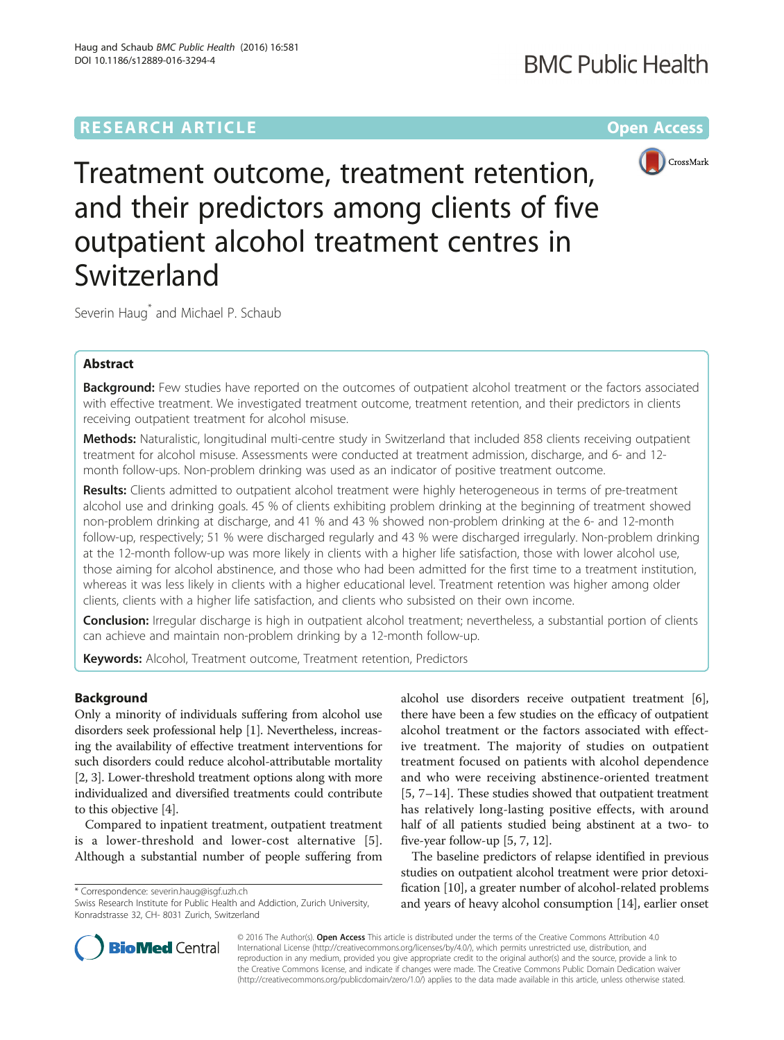# **RESEARCH ARTICLE External Structure Community Community Community Community Community Community Community Community**



Treatment outcome, treatment retention, and their predictors among clients of five outpatient alcohol treatment centres in Switzerland

Severin Haug<sup>\*</sup> and Michael P. Schaub

# Abstract

Background: Few studies have reported on the outcomes of outpatient alcohol treatment or the factors associated with effective treatment. We investigated treatment outcome, treatment retention, and their predictors in clients receiving outpatient treatment for alcohol misuse.

Methods: Naturalistic, longitudinal multi-centre study in Switzerland that included 858 clients receiving outpatient treatment for alcohol misuse. Assessments were conducted at treatment admission, discharge, and 6- and 12 month follow-ups. Non-problem drinking was used as an indicator of positive treatment outcome.

Results: Clients admitted to outpatient alcohol treatment were highly heterogeneous in terms of pre-treatment alcohol use and drinking goals. 45 % of clients exhibiting problem drinking at the beginning of treatment showed non-problem drinking at discharge, and 41 % and 43 % showed non-problem drinking at the 6- and 12-month follow-up, respectively; 51 % were discharged regularly and 43 % were discharged irregularly. Non-problem drinking at the 12-month follow-up was more likely in clients with a higher life satisfaction, those with lower alcohol use, those aiming for alcohol abstinence, and those who had been admitted for the first time to a treatment institution, whereas it was less likely in clients with a higher educational level. Treatment retention was higher among older clients, clients with a higher life satisfaction, and clients who subsisted on their own income.

Conclusion: Irregular discharge is high in outpatient alcohol treatment; nevertheless, a substantial portion of clients can achieve and maintain non-problem drinking by a 12-month follow-up.

Keywords: Alcohol, Treatment outcome, Treatment retention, Predictors

# Background

Only a minority of individuals suffering from alcohol use disorders seek professional help [\[1\]](#page-8-0). Nevertheless, increasing the availability of effective treatment interventions for such disorders could reduce alcohol-attributable mortality [[2, 3](#page-8-0)]. Lower-threshold treatment options along with more individualized and diversified treatments could contribute to this objective [[4\]](#page-8-0).

Compared to inpatient treatment, outpatient treatment is a lower-threshold and lower-cost alternative [[5](#page-8-0)]. Although a substantial number of people suffering from

\* Correspondence: [severin.haug@isgf.uzh.ch](mailto:severin.haug@isgf.uzh.ch)

alcohol use disorders receive outpatient treatment [[6](#page-8-0)], there have been a few studies on the efficacy of outpatient alcohol treatment or the factors associated with effective treatment. The majority of studies on outpatient treatment focused on patients with alcohol dependence and who were receiving abstinence-oriented treatment [[5](#page-8-0), [7](#page-8-0)–[14](#page-8-0)]. These studies showed that outpatient treatment has relatively long-lasting positive effects, with around half of all patients studied being abstinent at a two- to five-year follow-up [\[5](#page-8-0), [7, 12](#page-8-0)].

The baseline predictors of relapse identified in previous studies on outpatient alcohol treatment were prior detoxification [\[10\]](#page-8-0), a greater number of alcohol-related problems and years of heavy alcohol consumption [[14](#page-8-0)], earlier onset



© 2016 The Author(s). Open Access This article is distributed under the terms of the Creative Commons Attribution 4.0 International License [\(http://creativecommons.org/licenses/by/4.0/](http://creativecommons.org/licenses/by/4.0/)), which permits unrestricted use, distribution, and reproduction in any medium, provided you give appropriate credit to the original author(s) and the source, provide a link to the Creative Commons license, and indicate if changes were made. The Creative Commons Public Domain Dedication waiver [\(http://creativecommons.org/publicdomain/zero/1.0/](http://creativecommons.org/publicdomain/zero/1.0/)) applies to the data made available in this article, unless otherwise stated.

Swiss Research Institute for Public Health and Addiction, Zurich University, Konradstrasse 32, CH- 8031 Zurich, Switzerland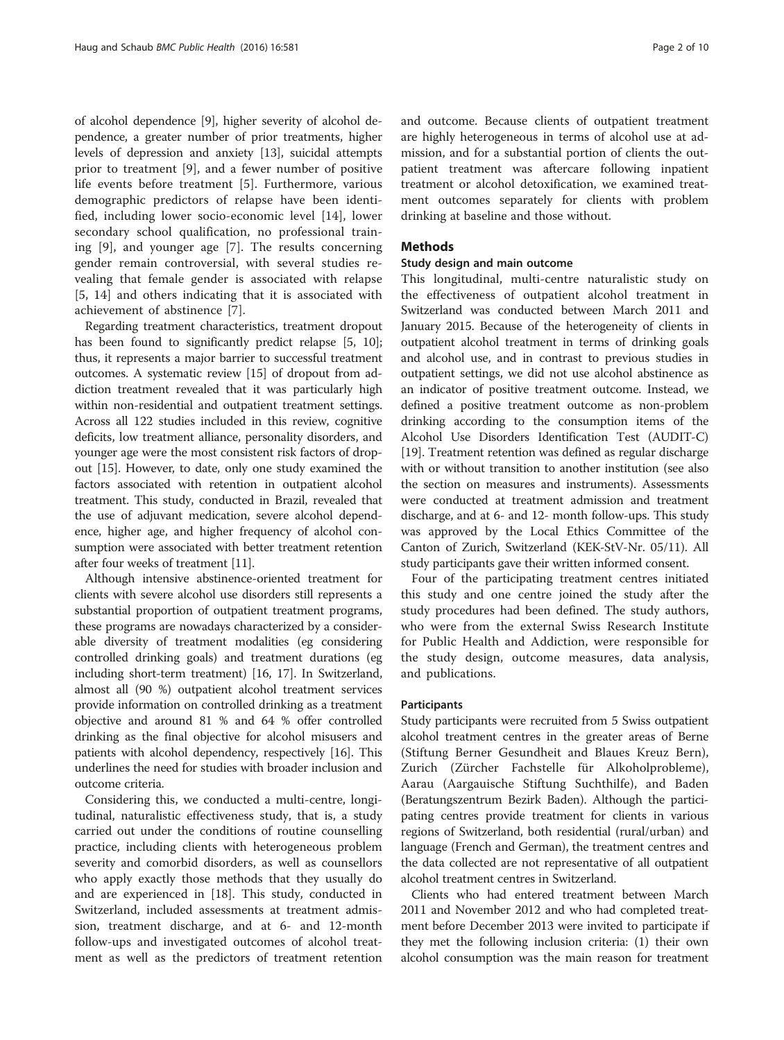of alcohol dependence [[9](#page-8-0)], higher severity of alcohol dependence, a greater number of prior treatments, higher levels of depression and anxiety [[13](#page-8-0)], suicidal attempts prior to treatment [[9\]](#page-8-0), and a fewer number of positive life events before treatment [\[5](#page-8-0)]. Furthermore, various demographic predictors of relapse have been identified, including lower socio-economic level [\[14](#page-8-0)], lower secondary school qualification, no professional training [[9\]](#page-8-0), and younger age [[7\]](#page-8-0). The results concerning gender remain controversial, with several studies revealing that female gender is associated with relapse [[5, 14](#page-8-0)] and others indicating that it is associated with achievement of abstinence [[7](#page-8-0)].

Regarding treatment characteristics, treatment dropout has been found to significantly predict relapse [[5](#page-8-0), [10](#page-8-0)]; thus, it represents a major barrier to successful treatment outcomes. A systematic review [\[15\]](#page-8-0) of dropout from addiction treatment revealed that it was particularly high within non-residential and outpatient treatment settings. Across all 122 studies included in this review, cognitive deficits, low treatment alliance, personality disorders, and younger age were the most consistent risk factors of dropout [[15\]](#page-8-0). However, to date, only one study examined the factors associated with retention in outpatient alcohol treatment. This study, conducted in Brazil, revealed that the use of adjuvant medication, severe alcohol dependence, higher age, and higher frequency of alcohol consumption were associated with better treatment retention after four weeks of treatment [[11](#page-8-0)].

Although intensive abstinence-oriented treatment for clients with severe alcohol use disorders still represents a substantial proportion of outpatient treatment programs, these programs are nowadays characterized by a considerable diversity of treatment modalities (eg considering controlled drinking goals) and treatment durations (eg including short-term treatment) [[16](#page-8-0), [17](#page-8-0)]. In Switzerland, almost all (90 %) outpatient alcohol treatment services provide information on controlled drinking as a treatment objective and around 81 % and 64 % offer controlled drinking as the final objective for alcohol misusers and patients with alcohol dependency, respectively [[16\]](#page-8-0). This underlines the need for studies with broader inclusion and outcome criteria.

Considering this, we conducted a multi-centre, longitudinal, naturalistic effectiveness study, that is, a study carried out under the conditions of routine counselling practice, including clients with heterogeneous problem severity and comorbid disorders, as well as counsellors who apply exactly those methods that they usually do and are experienced in [\[18](#page-9-0)]. This study, conducted in Switzerland, included assessments at treatment admission, treatment discharge, and at 6- and 12-month follow-ups and investigated outcomes of alcohol treatment as well as the predictors of treatment retention and outcome. Because clients of outpatient treatment are highly heterogeneous in terms of alcohol use at admission, and for a substantial portion of clients the outpatient treatment was aftercare following inpatient treatment or alcohol detoxification, we examined treatment outcomes separately for clients with problem drinking at baseline and those without.

### **Methods**

### Study design and main outcome

This longitudinal, multi-centre naturalistic study on the effectiveness of outpatient alcohol treatment in Switzerland was conducted between March 2011 and January 2015. Because of the heterogeneity of clients in outpatient alcohol treatment in terms of drinking goals and alcohol use, and in contrast to previous studies in outpatient settings, we did not use alcohol abstinence as an indicator of positive treatment outcome. Instead, we defined a positive treatment outcome as non-problem drinking according to the consumption items of the Alcohol Use Disorders Identification Test (AUDIT-C) [[19](#page-9-0)]. Treatment retention was defined as regular discharge with or without transition to another institution (see also the section on measures and instruments). Assessments were conducted at treatment admission and treatment discharge, and at 6- and 12- month follow-ups. This study was approved by the Local Ethics Committee of the Canton of Zurich, Switzerland (KEK-StV-Nr. 05/11). All study participants gave their written informed consent.

Four of the participating treatment centres initiated this study and one centre joined the study after the study procedures had been defined. The study authors, who were from the external Swiss Research Institute for Public Health and Addiction, were responsible for the study design, outcome measures, data analysis, and publications.

#### Participants

Study participants were recruited from 5 Swiss outpatient alcohol treatment centres in the greater areas of Berne (Stiftung Berner Gesundheit and Blaues Kreuz Bern), Zurich (Zürcher Fachstelle für Alkoholprobleme), Aarau (Aargauische Stiftung Suchthilfe), and Baden (Beratungszentrum Bezirk Baden). Although the participating centres provide treatment for clients in various regions of Switzerland, both residential (rural/urban) and language (French and German), the treatment centres and the data collected are not representative of all outpatient alcohol treatment centres in Switzerland.

Clients who had entered treatment between March 2011 and November 2012 and who had completed treatment before December 2013 were invited to participate if they met the following inclusion criteria: (1) their own alcohol consumption was the main reason for treatment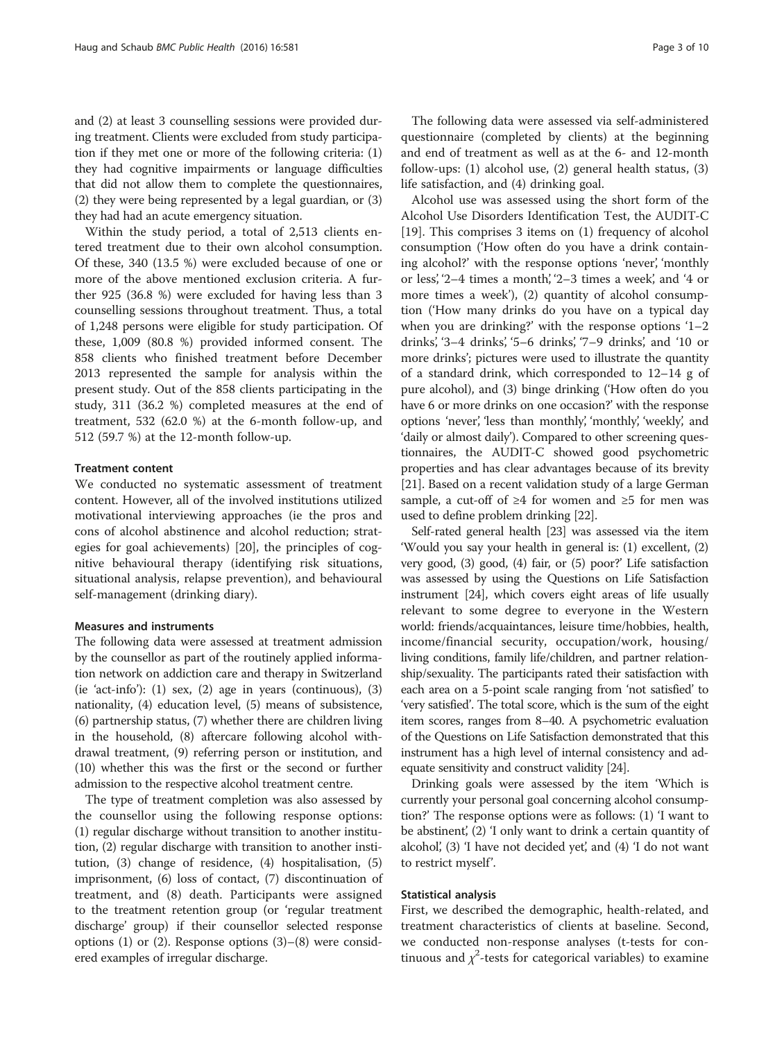and (2) at least 3 counselling sessions were provided during treatment. Clients were excluded from study participation if they met one or more of the following criteria: (1) they had cognitive impairments or language difficulties that did not allow them to complete the questionnaires, (2) they were being represented by a legal guardian, or (3) they had had an acute emergency situation.

Within the study period, a total of 2,513 clients entered treatment due to their own alcohol consumption. Of these, 340 (13.5 %) were excluded because of one or more of the above mentioned exclusion criteria. A further 925 (36.8 %) were excluded for having less than 3 counselling sessions throughout treatment. Thus, a total of 1,248 persons were eligible for study participation. Of these, 1,009 (80.8 %) provided informed consent. The 858 clients who finished treatment before December 2013 represented the sample for analysis within the present study. Out of the 858 clients participating in the study, 311 (36.2 %) completed measures at the end of treatment, 532 (62.0 %) at the 6-month follow-up, and 512 (59.7 %) at the 12-month follow-up.

### Treatment content

We conducted no systematic assessment of treatment content. However, all of the involved institutions utilized motivational interviewing approaches (ie the pros and cons of alcohol abstinence and alcohol reduction; strategies for goal achievements) [[20\]](#page-9-0), the principles of cognitive behavioural therapy (identifying risk situations, situational analysis, relapse prevention), and behavioural self-management (drinking diary).

#### Measures and instruments

The following data were assessed at treatment admission by the counsellor as part of the routinely applied information network on addiction care and therapy in Switzerland (ie 'act-info'): (1) sex, (2) age in years (continuous), (3) nationality, (4) education level, (5) means of subsistence, (6) partnership status, (7) whether there are children living in the household, (8) aftercare following alcohol withdrawal treatment, (9) referring person or institution, and (10) whether this was the first or the second or further admission to the respective alcohol treatment centre.

The type of treatment completion was also assessed by the counsellor using the following response options: (1) regular discharge without transition to another institution, (2) regular discharge with transition to another institution, (3) change of residence, (4) hospitalisation, (5) imprisonment, (6) loss of contact, (7) discontinuation of treatment, and (8) death. Participants were assigned to the treatment retention group (or 'regular treatment discharge' group) if their counsellor selected response options  $(1)$  or  $(2)$ . Response options  $(3)$ – $(8)$  were considered examples of irregular discharge.

The following data were assessed via self-administered questionnaire (completed by clients) at the beginning and end of treatment as well as at the 6- and 12-month follow-ups: (1) alcohol use, (2) general health status, (3) life satisfaction, and (4) drinking goal.

Alcohol use was assessed using the short form of the Alcohol Use Disorders Identification Test, the AUDIT-C [[19\]](#page-9-0). This comprises 3 items on (1) frequency of alcohol consumption ('How often do you have a drink containing alcohol?' with the response options 'never', 'monthly or less', '2–4 times a month', '2–3 times a week', and '4 or more times a week'), (2) quantity of alcohol consumption ('How many drinks do you have on a typical day when you are drinking?' with the response options '1–2 drinks', '3–4 drinks', '5–6 drinks', '7–9 drinks', and '10 or more drinks'; pictures were used to illustrate the quantity of a standard drink, which corresponded to 12–14 g of pure alcohol), and (3) binge drinking ('How often do you have 6 or more drinks on one occasion?' with the response options 'never', 'less than monthly', 'monthly', 'weekly', and 'daily or almost daily'). Compared to other screening questionnaires, the AUDIT-C showed good psychometric properties and has clear advantages because of its brevity [[21](#page-9-0)]. Based on a recent validation study of a large German sample, a cut-off of ≥4 for women and ≥5 for men was used to define problem drinking [\[22\]](#page-9-0).

Self-rated general health [\[23\]](#page-9-0) was assessed via the item 'Would you say your health in general is: (1) excellent, (2) very good, (3) good, (4) fair, or (5) poor?' Life satisfaction was assessed by using the Questions on Life Satisfaction instrument [\[24\]](#page-9-0), which covers eight areas of life usually relevant to some degree to everyone in the Western world: friends/acquaintances, leisure time/hobbies, health, income/financial security, occupation/work, housing/ living conditions, family life/children, and partner relationship/sexuality. The participants rated their satisfaction with each area on a 5-point scale ranging from 'not satisfied' to 'very satisfied'. The total score, which is the sum of the eight item scores, ranges from 8–40. A psychometric evaluation of the Questions on Life Satisfaction demonstrated that this instrument has a high level of internal consistency and adequate sensitivity and construct validity [\[24](#page-9-0)].

Drinking goals were assessed by the item 'Which is currently your personal goal concerning alcohol consumption?' The response options were as follows: (1) 'I want to be abstinent', (2) 'I only want to drink a certain quantity of alcohol', (3) 'I have not decided yet', and (4) 'I do not want to restrict myself'.

#### Statistical analysis

First, we described the demographic, health-related, and treatment characteristics of clients at baseline. Second, we conducted non-response analyses (t-tests for continuous and  $\chi^2$ -tests for categorical variables) to examine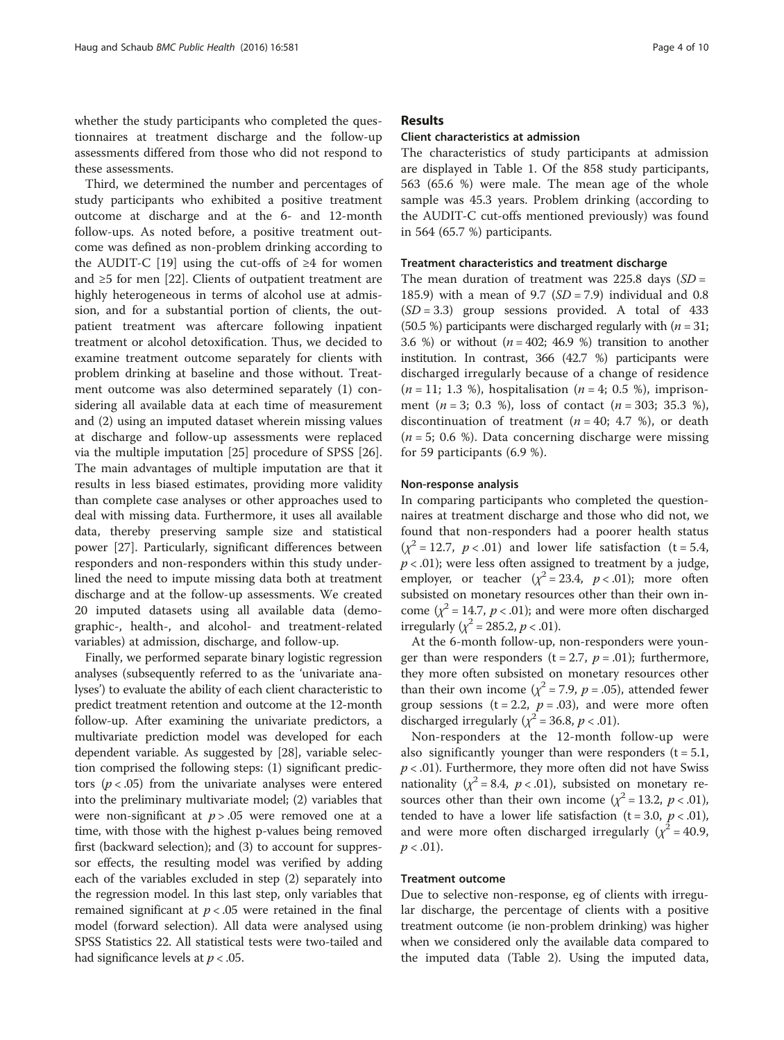whether the study participants who completed the questionnaires at treatment discharge and the follow-up assessments differed from those who did not respond to these assessments.

Third, we determined the number and percentages of study participants who exhibited a positive treatment outcome at discharge and at the 6- and 12-month follow-ups. As noted before, a positive treatment outcome was defined as non-problem drinking according to the AUDIT-C [[19\]](#page-9-0) using the cut-offs of ≥4 for women and ≥5 for men [[22\]](#page-9-0). Clients of outpatient treatment are highly heterogeneous in terms of alcohol use at admission, and for a substantial portion of clients, the outpatient treatment was aftercare following inpatient treatment or alcohol detoxification. Thus, we decided to examine treatment outcome separately for clients with problem drinking at baseline and those without. Treatment outcome was also determined separately (1) considering all available data at each time of measurement and (2) using an imputed dataset wherein missing values at discharge and follow-up assessments were replaced via the multiple imputation [\[25](#page-9-0)] procedure of SPSS [\[26](#page-9-0)]. The main advantages of multiple imputation are that it results in less biased estimates, providing more validity than complete case analyses or other approaches used to deal with missing data. Furthermore, it uses all available data, thereby preserving sample size and statistical power [[27](#page-9-0)]. Particularly, significant differences between responders and non-responders within this study underlined the need to impute missing data both at treatment discharge and at the follow-up assessments. We created 20 imputed datasets using all available data (demographic-, health-, and alcohol- and treatment-related variables) at admission, discharge, and follow-up.

Finally, we performed separate binary logistic regression analyses (subsequently referred to as the 'univariate analyses') to evaluate the ability of each client characteristic to predict treatment retention and outcome at the 12-month follow-up. After examining the univariate predictors, a multivariate prediction model was developed for each dependent variable. As suggested by [\[28\]](#page-9-0), variable selection comprised the following steps: (1) significant predictors ( $p < .05$ ) from the univariate analyses were entered into the preliminary multivariate model; (2) variables that were non-significant at  $p > .05$  were removed one at a time, with those with the highest p-values being removed first (backward selection); and (3) to account for suppressor effects, the resulting model was verified by adding each of the variables excluded in step (2) separately into the regression model. In this last step, only variables that remained significant at  $p < .05$  were retained in the final model (forward selection). All data were analysed using SPSS Statistics 22. All statistical tests were two-tailed and had significance levels at  $p < .05$ .

### Results

#### Client characteristics at admission

The characteristics of study participants at admission are displayed in Table [1.](#page-4-0) Of the 858 study participants, 563 (65.6 %) were male. The mean age of the whole sample was 45.3 years. Problem drinking (according to the AUDIT-C cut-offs mentioned previously) was found in 564 (65.7 %) participants.

### Treatment characteristics and treatment discharge

The mean duration of treatment was  $225.8$  days  $(SD =$ 185.9) with a mean of 9.7  $(SD = 7.9)$  individual and 0.8  $(SD = 3.3)$  group sessions provided. A total of 433 (50.5 %) participants were discharged regularly with  $(n = 31;$ 3.6 %) or without  $(n = 402; 46.9)$  transition to another institution. In contrast, 366 (42.7 %) participants were discharged irregularly because of a change of residence  $(n = 11; 1.3 \%)$ , hospitalisation  $(n = 4; 0.5 \%)$ , imprisonment  $(n = 3; 0.3 \%)$ , loss of contact  $(n = 303; 35.3 \%)$ , discontinuation of treatment ( $n = 40$ ; 4.7 %), or death  $(n = 5; 0.6 \%)$ . Data concerning discharge were missing for 59 participants (6.9 %).

#### Non-response analysis

In comparing participants who completed the questionnaires at treatment discharge and those who did not, we found that non-responders had a poorer health status  $(\chi^2 = 12.7, p < .01)$  and lower life satisfaction (t = 5.4,  $p < .01$ ); were less often assigned to treatment by a judge, employer, or teacher ( $\chi^2 = 23.4$ ,  $p < .01$ ); more often subsisted on monetary resources other than their own income ( $\chi^2$  = 14.7,  $p < .01$ ); and were more often discharged irregularly ( $\chi^2$  = 285.2, *p* < .01).

At the 6-month follow-up, non-responders were younger than were responders  $(t = 2.7, p = .01)$ ; furthermore, they more often subsisted on monetary resources other than their own income ( $\chi^2$  = 7.9, p = .05), attended fewer group sessions ( $t = 2.2$ ,  $p = .03$ ), and were more often discharged irregularly ( $\chi^2$  = 36.8, *p* < .01).

Non-responders at the 12-month follow-up were also significantly younger than were responders  $(t = 5.1,$  $p < .01$ ). Furthermore, they more often did not have Swiss nationality ( $\chi^2$  = 8.4,  $p < .01$ ), subsisted on monetary resources other than their own income ( $\chi^2$  = 13.2, p < .01), tended to have a lower life satisfaction (t = 3.0,  $p < .01$ ), and were more often discharged irregularly ( $\chi^2$  = 40.9,  $p < .01$ ).

### Treatment outcome

Due to selective non-response, eg of clients with irregular discharge, the percentage of clients with a positive treatment outcome (ie non-problem drinking) was higher when we considered only the available data compared to the imputed data (Table [2](#page-5-0)). Using the imputed data,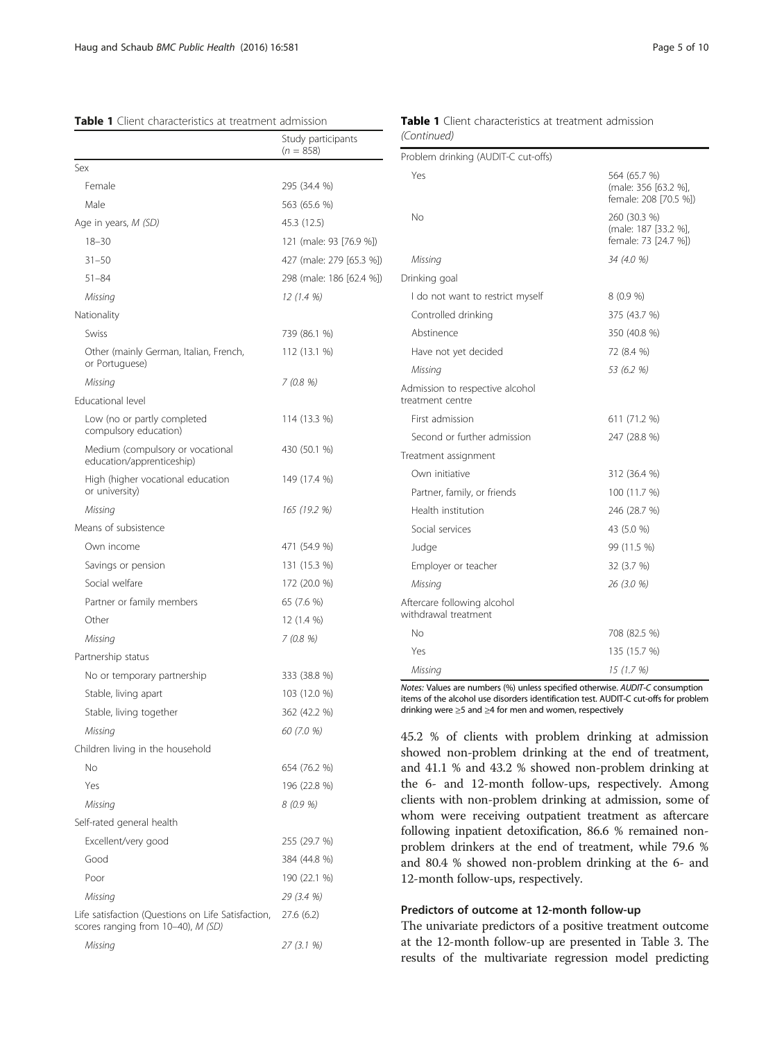#### <span id="page-4-0"></span>Table 1 Client characteristics at treatment admission

|                                                                                          | Study participants<br>$(n = 858)$ |
|------------------------------------------------------------------------------------------|-----------------------------------|
| Sex                                                                                      |                                   |
| Female                                                                                   | 295 (34.4 %)                      |
| Male                                                                                     | 563 (65.6 %)                      |
| Age in years, M (SD)                                                                     | 45.3 (12.5)                       |
| $18 - 30$                                                                                | 121 (male: 93 [76.9 %])           |
| $31 - 50$                                                                                | 427 (male: 279 [65.3 %])          |
| $51 - 84$                                                                                | 298 (male: 186 [62.4 %])          |
| Missing                                                                                  | 12 (1.4 %)                        |
| Nationality                                                                              |                                   |
| Swiss                                                                                    | 739 (86.1 %)                      |
| Other (mainly German, Italian, French,<br>or Portuguese)                                 | 112 (13.1 %)                      |
| Missing                                                                                  | 7 (0.8 %)                         |
| Educational level                                                                        |                                   |
| Low (no or partly completed<br>compulsory education)                                     | 114 (13.3 %)                      |
| Medium (compulsory or vocational<br>education/apprenticeship)                            | 430 (50.1 %)                      |
| High (higher vocational education<br>or university)                                      | 149 (17.4 %)                      |
| Missing                                                                                  | 165 (19.2 %)                      |
| Means of subsistence                                                                     |                                   |
| Own income                                                                               | 471 (54.9 %)                      |
| Savings or pension                                                                       | 131 (15.3 %)                      |
| Social welfare                                                                           | 172 (20.0 %)                      |
| Partner or family members                                                                | 65 (7.6 %)                        |
| Other                                                                                    | 12 (1.4 %)                        |
| Missing                                                                                  | 7 (0.8 %)                         |
| Partnership status                                                                       |                                   |
| No or temporary partnership                                                              | 333 (38.8 %)                      |
| Stable, living apart                                                                     | 103 (12.0 %)                      |
| Stable, living together                                                                  | 362 (42.2 %)                      |
| Missing                                                                                  | 60 (7.0 %)                        |
| Children living in the household                                                         |                                   |
| Νo                                                                                       | 654 (76.2 %)                      |
| Yes                                                                                      | 196 (22.8 %)                      |
| Missing                                                                                  | 8 (0.9 %)                         |
| Self-rated general health                                                                |                                   |
| Excellent/very good                                                                      | 255 (29.7 %)                      |
| Good                                                                                     | 384 (44.8 %)                      |
| Poor                                                                                     | 190 (22.1 %)                      |
| Missing                                                                                  | 29 (3.4 %)                        |
| Life satisfaction (Questions on Life Satisfaction,<br>scores ranging from 10-40), M (SD) | 27.6(6.2)                         |

Missing 27 (3.1 %)

# Table 1 Client characteristics at treatment admission (Continued)

| Problem drinking (AUDIT-C cut-offs)                 |                                                               |
|-----------------------------------------------------|---------------------------------------------------------------|
| Yes                                                 | 564 (65.7 %)<br>(male: 356 [63.2 %],<br>female: 208 [70.5 %]) |
| No                                                  | 260 (30.3 %)<br>(male: 187 [33.2 %],<br>female: 73 [24.7 %])  |
| Missing                                             | 34 (4.0 %)                                                    |
| Drinking goal                                       |                                                               |
| I do not want to restrict myself                    | 8 (0.9 %)                                                     |
| Controlled drinking                                 | 375 (43.7 %)                                                  |
| Abstinence                                          | 350 (40.8 %)                                                  |
| Have not yet decided                                | 72 (8.4 %)                                                    |
| Missing                                             | 53 (6.2 %)                                                    |
| Admission to respective alcohol<br>treatment centre |                                                               |
| First admission                                     | 611 (71.2 %)                                                  |
| Second or further admission                         | 247 (28.8 %)                                                  |
| Treatment assignment                                |                                                               |
| Own initiative                                      | 312 (36.4 %)                                                  |
| Partner, family, or friends                         | 100 (11.7 %)                                                  |
| Health institution                                  | 246 (28.7 %)                                                  |
| Social services                                     | 43 (5.0 %)                                                    |
| Judge                                               | 99 (11.5 %)                                                   |
| Employer or teacher                                 | 32 (3.7 %)                                                    |
| Missing                                             | 26 (3.0 %)                                                    |
| Aftercare following alcohol<br>withdrawal treatment |                                                               |
| <b>No</b>                                           | 708 (82.5 %)                                                  |
| Yes                                                 | 135 (15.7 %)                                                  |
| Missina                                             | 15 (1 7 %)                                                    |

Notes: Values are numbers (%) unless specified otherwise. AUDIT-C consumption items of the alcohol use disorders identification test. AUDIT-C cut-offs for problem drinking were ≥5 and ≥4 for men and women, respectively

45.2 % of clients with problem drinking at admission showed non-problem drinking at the end of treatment, and 41.1 % and 43.2 % showed non-problem drinking at the 6- and 12-month follow-ups, respectively. Among clients with non-problem drinking at admission, some of whom were receiving outpatient treatment as aftercare following inpatient detoxification, 86.6 % remained nonproblem drinkers at the end of treatment, while 79.6 % and 80.4 % showed non-problem drinking at the 6- and 12-month follow-ups, respectively.

# Predictors of outcome at 12-month follow-up

The univariate predictors of a positive treatment outcome at the 12-month follow-up are presented in Table [3](#page-6-0). The results of the multivariate regression model predicting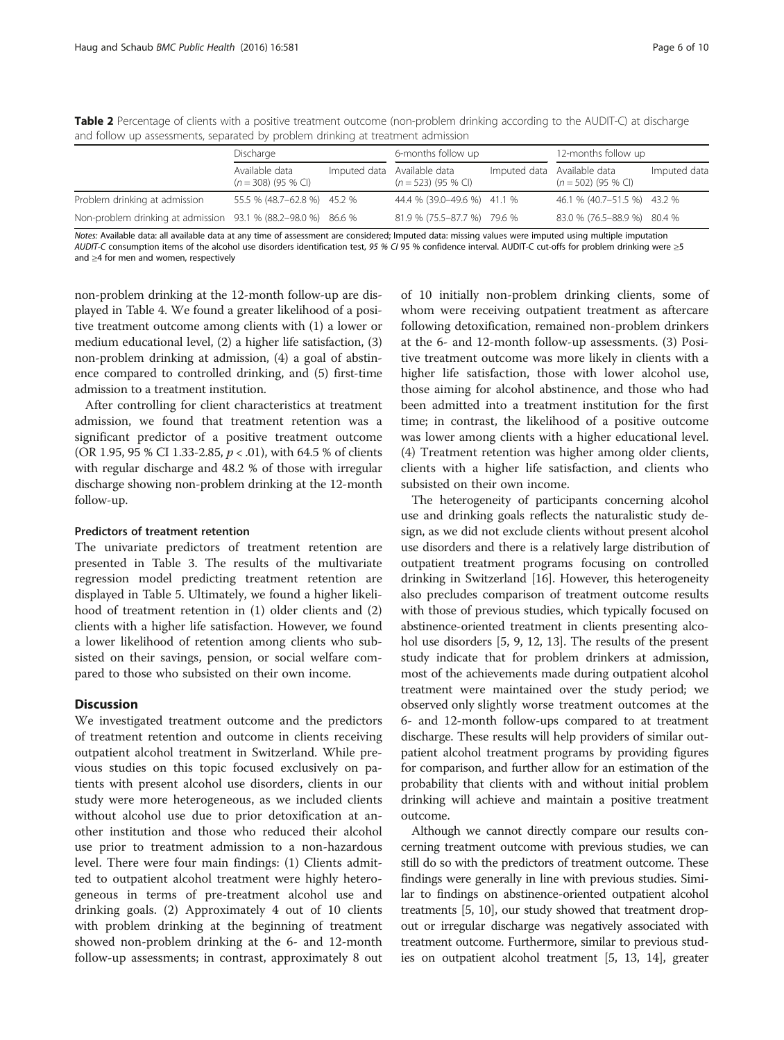|                                                               | Discharge                               |  | 6-months follow up                                   |  | 12-months follow up                                  |              |
|---------------------------------------------------------------|-----------------------------------------|--|------------------------------------------------------|--|------------------------------------------------------|--------------|
|                                                               | Available data<br>$(n = 308)$ (95 % CI) |  | Imputed data Available data<br>$(n = 523)$ (95 % CI) |  | Imputed data Available data<br>$(n = 502)$ (95 % CI) | Imputed data |
| Problem drinking at admission                                 | 55.5 % (48.7-62.8 %) 45.2 %             |  | 44.4 % (39.0-49.6 %) 41.1 %                          |  | 46.1 % (40.7-51.5 %) 43.2 %                          |              |
| Non-problem drinking at admission 93.1 % (88.2–98.0 %) 86.6 % |                                         |  | 81.9 % (75.5-87.7 %) 79.6 %                          |  | 83.0 % (76.5-88.9 %) 80.4 %                          |              |

<span id="page-5-0"></span>Table 2 Percentage of clients with a positive treatment outcome (non-problem drinking according to the AUDIT-C) at discharge and follow up assessments, separated by problem drinking at treatment admission

Notes: Available data: all available data at any time of assessment are considered; Imputed data: missing values were imputed using multiple imputation AUDIT-C consumption items of the alcohol use disorders identification test, 95 % CI 95 % confidence interval. AUDIT-C cut-offs for problem drinking were >5 and ≥4 for men and women, respectively

non-problem drinking at the 12-month follow-up are displayed in Table [4](#page-7-0). We found a greater likelihood of a positive treatment outcome among clients with (1) a lower or medium educational level, (2) a higher life satisfaction, (3) non-problem drinking at admission, (4) a goal of abstinence compared to controlled drinking, and (5) first-time admission to a treatment institution.

After controlling for client characteristics at treatment admission, we found that treatment retention was a significant predictor of a positive treatment outcome (OR 1.95, 95 % CI 1.33-2.85, p < .01), with 64.5 % of clients with regular discharge and 48.2 % of those with irregular discharge showing non-problem drinking at the 12-month follow-up.

### Predictors of treatment retention

The univariate predictors of treatment retention are presented in Table [3.](#page-6-0) The results of the multivariate regression model predicting treatment retention are displayed in Table [5.](#page-7-0) Ultimately, we found a higher likelihood of treatment retention in (1) older clients and (2) clients with a higher life satisfaction. However, we found a lower likelihood of retention among clients who subsisted on their savings, pension, or social welfare compared to those who subsisted on their own income.

## **Discussion**

We investigated treatment outcome and the predictors of treatment retention and outcome in clients receiving outpatient alcohol treatment in Switzerland. While previous studies on this topic focused exclusively on patients with present alcohol use disorders, clients in our study were more heterogeneous, as we included clients without alcohol use due to prior detoxification at another institution and those who reduced their alcohol use prior to treatment admission to a non-hazardous level. There were four main findings: (1) Clients admitted to outpatient alcohol treatment were highly heterogeneous in terms of pre-treatment alcohol use and drinking goals. (2) Approximately 4 out of 10 clients with problem drinking at the beginning of treatment showed non-problem drinking at the 6- and 12-month follow-up assessments; in contrast, approximately 8 out

of 10 initially non-problem drinking clients, some of whom were receiving outpatient treatment as aftercare following detoxification, remained non-problem drinkers at the 6- and 12-month follow-up assessments. (3) Positive treatment outcome was more likely in clients with a higher life satisfaction, those with lower alcohol use, those aiming for alcohol abstinence, and those who had been admitted into a treatment institution for the first time; in contrast, the likelihood of a positive outcome was lower among clients with a higher educational level. (4) Treatment retention was higher among older clients, clients with a higher life satisfaction, and clients who subsisted on their own income.

The heterogeneity of participants concerning alcohol use and drinking goals reflects the naturalistic study design, as we did not exclude clients without present alcohol use disorders and there is a relatively large distribution of outpatient treatment programs focusing on controlled drinking in Switzerland [\[16\]](#page-8-0). However, this heterogeneity also precludes comparison of treatment outcome results with those of previous studies, which typically focused on abstinence-oriented treatment in clients presenting alco-hol use disorders [\[5](#page-8-0), [9](#page-8-0), [12](#page-8-0), [13](#page-8-0)]. The results of the present study indicate that for problem drinkers at admission, most of the achievements made during outpatient alcohol treatment were maintained over the study period; we observed only slightly worse treatment outcomes at the 6- and 12-month follow-ups compared to at treatment discharge. These results will help providers of similar outpatient alcohol treatment programs by providing figures for comparison, and further allow for an estimation of the probability that clients with and without initial problem drinking will achieve and maintain a positive treatment outcome.

Although we cannot directly compare our results concerning treatment outcome with previous studies, we can still do so with the predictors of treatment outcome. These findings were generally in line with previous studies. Similar to findings on abstinence-oriented outpatient alcohol treatments [\[5](#page-8-0), [10\]](#page-8-0), our study showed that treatment dropout or irregular discharge was negatively associated with treatment outcome. Furthermore, similar to previous studies on outpatient alcohol treatment [\[5](#page-8-0), [13, 14\]](#page-8-0), greater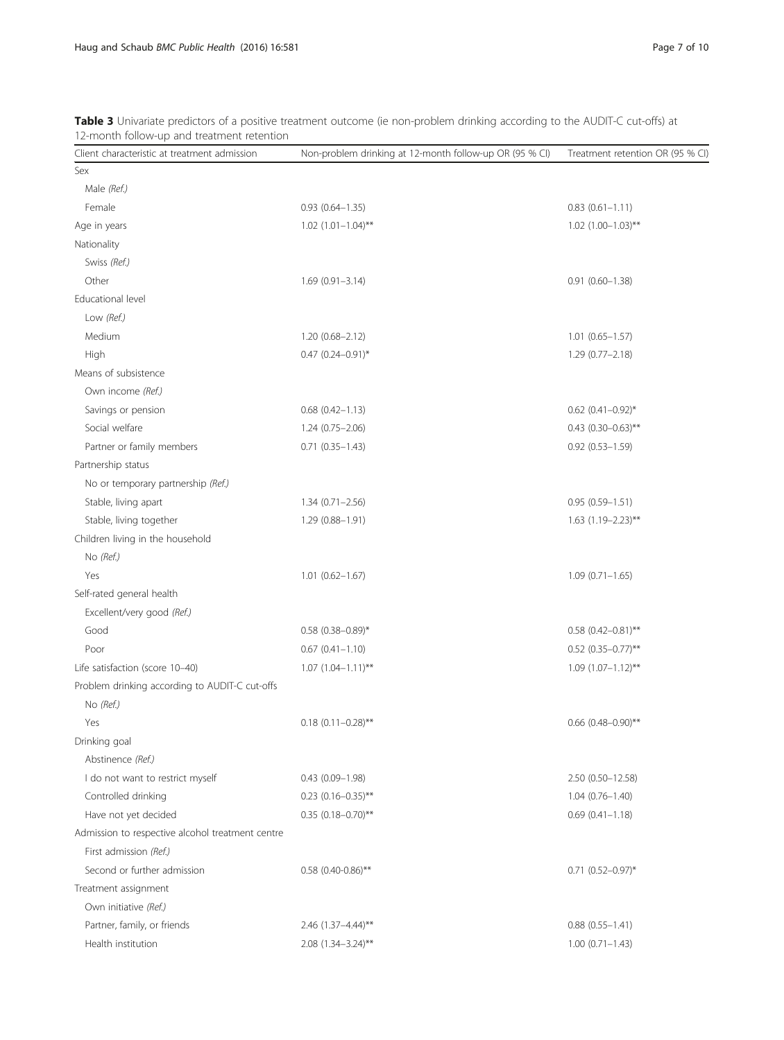| Client characteristic at treatment admission     | Non-problem drinking at 12-month follow-up OR (95 % CI) | Treatment retention OR (95 % CI) |
|--------------------------------------------------|---------------------------------------------------------|----------------------------------|
| Sex                                              |                                                         |                                  |
| Male (Ref.)                                      |                                                         |                                  |
| Female                                           | $0.93$ $(0.64 - 1.35)$                                  | $0.83(0.61 - 1.11)$              |
| Age in years                                     | $1.02$ $(1.01-1.04)$ **                                 | $1.02$ $(1.00-1.03)$ **          |
| Nationality                                      |                                                         |                                  |
| Swiss (Ref.)                                     |                                                         |                                  |
| Other                                            | $1.69(0.91 - 3.14)$                                     | $0.91(0.60 - 1.38)$              |
| Educational level                                |                                                         |                                  |
| Low (Ref.)                                       |                                                         |                                  |
| Medium                                           | $1.20(0.68 - 2.12)$                                     | $1.01$ $(0.65 - 1.57)$           |
| High                                             | $0.47$ (0.24-0.91)*                                     | $1.29(0.77 - 2.18)$              |
| Means of subsistence                             |                                                         |                                  |
| Own income (Ref.)                                |                                                         |                                  |
| Savings or pension                               | $0.68$ $(0.42 - 1.13)$                                  | $0.62$ $(0.41 - 0.92)$ *         |
| Social welfare                                   | 1.24 (0.75-2.06)                                        | $0.43$ (0.30-0.63)**             |
| Partner or family members                        | $0.71(0.35 - 1.43)$                                     | $0.92(0.53 - 1.59)$              |
| Partnership status                               |                                                         |                                  |
| No or temporary partnership (Ref.)               |                                                         |                                  |
| Stable, living apart                             | $1.34(0.71 - 2.56)$                                     | $0.95(0.59 - 1.51)$              |
| Stable, living together                          | 1.29 (0.88-1.91)                                        | $1.63$ (1.19-2.23)**             |
| Children living in the household                 |                                                         |                                  |
| No (Ref.)                                        |                                                         |                                  |
| Yes                                              | $1.01$ $(0.62 - 1.67)$                                  | $1.09(0.71 - 1.65)$              |
| Self-rated general health                        |                                                         |                                  |
| Excellent/very good (Ref.)                       |                                                         |                                  |
| Good                                             | $0.58$ (0.38-0.89)*                                     | $0.58$ (0.42-0.81)**             |
| Poor                                             | $0.67$ $(0.41 - 1.10)$                                  | $0.52$ (0.35-0.77)**             |
| Life satisfaction (score 10-40)                  | $1.07$ $(1.04 - 1.11)^{**}$                             | $1.09$ $(1.07-1.12)$ **          |
| Problem drinking according to AUDIT-C cut-offs   |                                                         |                                  |
| No (Ref.)                                        |                                                         |                                  |
| Yes                                              | $0.18(0.11 - 0.28)$ **                                  | $0.66$ (0.48-0.90)**             |
| Drinking goal                                    |                                                         |                                  |
| Abstinence (Ref.)                                |                                                         |                                  |
| I do not want to restrict myself                 | $0.43(0.09 - 1.98)$                                     | 2.50 (0.50-12.58)                |
| Controlled drinking                              | $0.23$ (0.16-0.35)**                                    | $1.04(0.76 - 1.40)$              |
| Have not yet decided                             | $0.35$ (0.18-0.70)**                                    | $0.69(0.41 - 1.18)$              |
| Admission to respective alcohol treatment centre |                                                         |                                  |
| First admission (Ref.)                           |                                                         |                                  |
| Second or further admission                      | $0.58$ (0.40-0.86)**                                    | $0.71$ $(0.52 - 0.97)^*$         |
| Treatment assignment                             |                                                         |                                  |
| Own initiative (Ref.)                            |                                                         |                                  |
| Partner, family, or friends                      | 2.46 (1.37-4.44)**                                      | $0.88(0.55 - 1.41)$              |
| Health institution                               | 2.08 (1.34-3.24)**                                      | $1.00(0.71 - 1.43)$              |
|                                                  |                                                         |                                  |

<span id="page-6-0"></span>Table 3 Univariate predictors of a positive treatment outcome (ie non-problem drinking according to the AUDIT-C cut-offs) at 12-month follow-up and treatment retention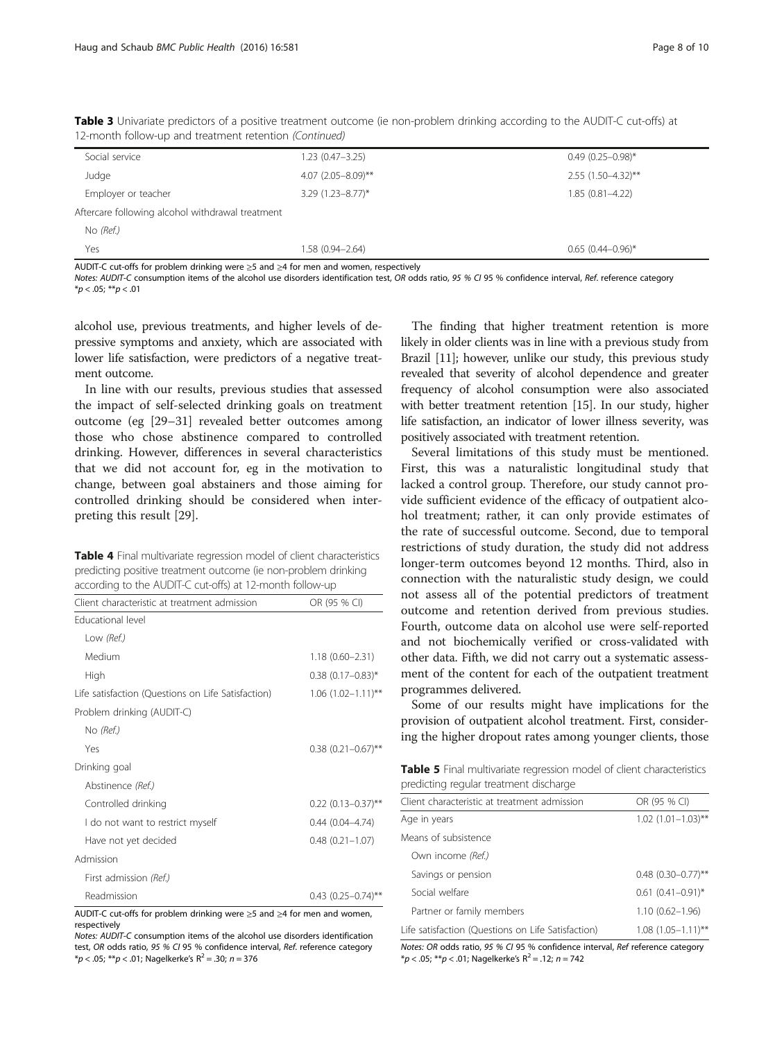<span id="page-7-0"></span>

| Table 3 Univariate predictors of a positive treatment outcome (ie non-problem drinking according to the AUDIT-C cut-offs) at |  |
|------------------------------------------------------------------------------------------------------------------------------|--|
| 12-month follow-up and treatment retention (Continued)                                                                       |  |

| Social service                                   | $1.23(0.47 - 3.25)$  | $0.49(0.25 - 0.98)^*$ |
|--------------------------------------------------|----------------------|-----------------------|
| Judge                                            | $4.07$ (2.05-8.09)** | $2.55(1.50-4.32)$ **  |
| Employer or teacher                              | $3.29$ (1.23-8.77)*  | $1.85(0.81 - 4.22)$   |
| Aftercare following alcohol withdrawal treatment |                      |                       |
| No (Ref.)                                        |                      |                       |
| Yes                                              | 1.58 (0.94-2.64)     | $0.65(0.44 - 0.96)^*$ |

AUDIT-C cut-offs for problem drinking were ≥5 and ≥4 for men and women, respectively

Notes: AUDIT-C consumption items of the alcohol use disorders identification test, OR odds ratio, 95 % CI 95 % confidence interval, Ref. reference category  $*<sub>p</sub> < .05; **p < .01$ 

alcohol use, previous treatments, and higher levels of depressive symptoms and anxiety, which are associated with lower life satisfaction, were predictors of a negative treatment outcome.

In line with our results, previous studies that assessed the impact of self-selected drinking goals on treatment outcome (eg [[29](#page-9-0)–[31](#page-9-0)] revealed better outcomes among those who chose abstinence compared to controlled drinking. However, differences in several characteristics that we did not account for, eg in the motivation to change, between goal abstainers and those aiming for controlled drinking should be considered when interpreting this result [[29](#page-9-0)].

Table 4 Final multivariate regression model of client characteristics predicting positive treatment outcome (ie non-problem drinking according to the AUDIT-C cut-offs) at 12-month follow-up

| Client characteristic at treatment admission       | OR (95 % CI)              |
|----------------------------------------------------|---------------------------|
| Educational level                                  |                           |
| Low (Ref.)                                         |                           |
| Medium                                             | $1.18(0.60 - 2.31)$       |
| High                                               | $0.38(0.17-0.83)$ *       |
| Life satisfaction (Questions on Life Satisfaction) | $1.06$ $(1.02 - 1.11)$ ** |
| Problem drinking (AUDIT-C)                         |                           |
| No (Ref.)                                          |                           |
| Yes                                                | $0.38$ $(0.21 - 0.67)$ ** |
| Drinking goal                                      |                           |
| Abstinence (Ref.)                                  |                           |
| Controlled drinking                                | $0.22$ (0.13-0.37)**      |
| I do not want to restrict myself                   | $0.44(0.04 - 4.74)$       |
| Have not yet decided                               | $0.48$ $(0.21 - 1.07)$    |
| Admission                                          |                           |
| First admission (Ref.)                             |                           |
| Readmission                                        | $0.43$ $(0.25-0.74)$ **   |

AUDIT-C cut-offs for problem drinking were ≥5 and ≥4 for men and women, respectively

Notes: AUDIT-C consumption items of the alcohol use disorders identification test, OR odds ratio, 95 % CI 95 % confidence interval, Ref. reference category  $*p < .05; **p < .01;$  Nagelkerke's R<sup>2</sup> = .30; n = 376

The finding that higher treatment retention is more likely in older clients was in line with a previous study from Brazil [[11](#page-8-0)]; however, unlike our study, this previous study revealed that severity of alcohol dependence and greater frequency of alcohol consumption were also associated with better treatment retention [\[15\]](#page-8-0). In our study, higher life satisfaction, an indicator of lower illness severity, was positively associated with treatment retention.

Several limitations of this study must be mentioned. First, this was a naturalistic longitudinal study that lacked a control group. Therefore, our study cannot provide sufficient evidence of the efficacy of outpatient alcohol treatment; rather, it can only provide estimates of the rate of successful outcome. Second, due to temporal restrictions of study duration, the study did not address longer-term outcomes beyond 12 months. Third, also in connection with the naturalistic study design, we could not assess all of the potential predictors of treatment outcome and retention derived from previous studies. Fourth, outcome data on alcohol use were self-reported and not biochemically verified or cross-validated with other data. Fifth, we did not carry out a systematic assessment of the content for each of the outpatient treatment programmes delivered.

Some of our results might have implications for the provision of outpatient alcohol treatment. First, considering the higher dropout rates among younger clients, those

**Table 5** Final multivariate regression model of client characteristics predicting regular treatment discharge

| Client characteristic at treatment admission       | OR (95 % CI)              |
|----------------------------------------------------|---------------------------|
| Age in years                                       | $1.02$ $(1.01 - 1.03)$ ** |
| Means of subsistence                               |                           |
| Own income (Ref.)                                  |                           |
| Savings or pension                                 | $0.48$ (0.30-0.77)**      |
| Social welfare                                     | $0.61$ $(0.41 - 0.91)^*$  |
| Partner or family members                          | $1.10(0.62 - 1.96)$       |
| Life satisfaction (Questions on Life Satisfaction) | $1.08(1.05 - 1.11)$ **    |

Notes: OR odds ratio, 95 % CI 95 % confidence interval, Ref reference category  $*p < .05; **p < .01;$  Nagelkerke's R<sup>2</sup> = .12; n = 742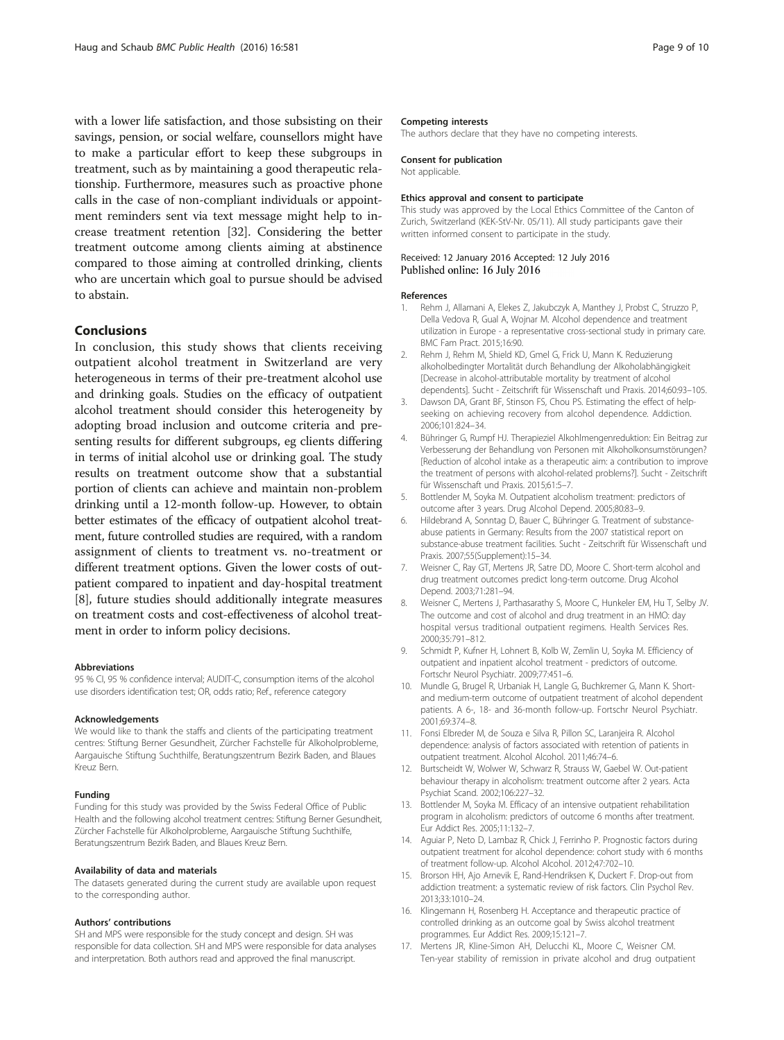<span id="page-8-0"></span>with a lower life satisfaction, and those subsisting on their savings, pension, or social welfare, counsellors might have to make a particular effort to keep these subgroups in treatment, such as by maintaining a good therapeutic relationship. Furthermore, measures such as proactive phone calls in the case of non-compliant individuals or appointment reminders sent via text message might help to increase treatment retention [[32](#page-9-0)]. Considering the better treatment outcome among clients aiming at abstinence compared to those aiming at controlled drinking, clients who are uncertain which goal to pursue should be advised to abstain.

### Conclusions

In conclusion, this study shows that clients receiving outpatient alcohol treatment in Switzerland are very heterogeneous in terms of their pre-treatment alcohol use and drinking goals. Studies on the efficacy of outpatient alcohol treatment should consider this heterogeneity by adopting broad inclusion and outcome criteria and presenting results for different subgroups, eg clients differing in terms of initial alcohol use or drinking goal. The study results on treatment outcome show that a substantial portion of clients can achieve and maintain non-problem drinking until a 12-month follow-up. However, to obtain better estimates of the efficacy of outpatient alcohol treatment, future controlled studies are required, with a random assignment of clients to treatment vs. no-treatment or different treatment options. Given the lower costs of outpatient compared to inpatient and day-hospital treatment [8], future studies should additionally integrate measures on treatment costs and cost-effectiveness of alcohol treatment in order to inform policy decisions.

#### Abbreviations

95 % CI, 95 % confidence interval; AUDIT-C, consumption items of the alcohol use disorders identification test; OR, odds ratio; Ref., reference category

#### Acknowledgements

We would like to thank the staffs and clients of the participating treatment centres: Stiftung Berner Gesundheit, Zürcher Fachstelle für Alkoholprobleme, Aargauische Stiftung Suchthilfe, Beratungszentrum Bezirk Baden, and Blaues Kreuz Bern.

#### Funding

Funding for this study was provided by the Swiss Federal Office of Public Health and the following alcohol treatment centres: Stiftung Berner Gesundheit, Zürcher Fachstelle für Alkoholprobleme, Aargauische Stiftung Suchthilfe, Beratungszentrum Bezirk Baden, and Blaues Kreuz Bern.

#### Availability of data and materials

The datasets generated during the current study are available upon request to the corresponding author.

#### Authors' contributions

SH and MPS were responsible for the study concept and design. SH was responsible for data collection. SH and MPS were responsible for data analyses and interpretation. Both authors read and approved the final manuscript.

#### Competing interests

The authors declare that they have no competing interests.

#### Consent for publication

Not applicable.

#### Ethics approval and consent to participate

This study was approved by the Local Ethics Committee of the Canton of Zurich, Switzerland (KEK-StV-Nr. 05/11). All study participants gave their written informed consent to participate in the study.

### Received: 12 January 2016 Accepted: 12 July 2016 Published online: 16 July 2016

#### References

- 1. Rehm J, Allamani A, Elekes Z, Jakubczyk A, Manthey J, Probst C, Struzzo P, Della Vedova R, Gual A, Wojnar M. Alcohol dependence and treatment utilization in Europe - a representative cross-sectional study in primary care. BMC Fam Pract. 2015;16:90.
- 2. Rehm J, Rehm M, Shield KD, Gmel G, Frick U, Mann K. Reduzierung alkoholbedingter Mortalität durch Behandlung der Alkoholabhängigkeit [Decrease in alcohol-attributable mortality by treatment of alcohol dependents]. Sucht - Zeitschrift für Wissenschaft und Praxis. 2014;60:93–105.
- 3. Dawson DA, Grant BF, Stinson FS, Chou PS. Estimating the effect of helpseeking on achieving recovery from alcohol dependence. Addiction. 2006;101:824–34.
- 4. Bühringer G, Rumpf HJ. Therapieziel Alkohlmengenreduktion: Ein Beitrag zur Verbesserung der Behandlung von Personen mit Alkoholkonsumstörungen? [Reduction of alcohol intake as a therapeutic aim: a contribution to improve the treatment of persons with alcohol-related problems?]. Sucht - Zeitschrift für Wissenschaft und Praxis. 2015;61:5–7.
- 5. Bottlender M, Soyka M. Outpatient alcoholism treatment: predictors of outcome after 3 years. Drug Alcohol Depend. 2005;80:83–9.
- 6. Hildebrand A, Sonntag D, Bauer C, Bühringer G. Treatment of substanceabuse patients in Germany: Results from the 2007 statistical report on substance-abuse treatment facilities. Sucht - Zeitschrift für Wissenschaft und Praxis. 2007;55(Supplement):15–34.
- 7. Weisner C, Ray GT, Mertens JR, Satre DD, Moore C. Short-term alcohol and drug treatment outcomes predict long-term outcome. Drug Alcohol Depend. 2003;71:281–94.
- Weisner C, Mertens J, Parthasarathy S, Moore C, Hunkeler EM, Hu T, Selby JV. The outcome and cost of alcohol and drug treatment in an HMO: day hospital versus traditional outpatient regimens. Health Services Res. 2000;35:791–812.
- 9. Schmidt P, Kufner H, Lohnert B, Kolb W, Zemlin U, Soyka M. Efficiency of outpatient and inpatient alcohol treatment - predictors of outcome. Fortschr Neurol Psychiatr. 2009;77:451–6.
- 10. Mundle G, Brugel R, Urbaniak H, Langle G, Buchkremer G, Mann K. Shortand medium-term outcome of outpatient treatment of alcohol dependent patients. A 6-, 18- and 36-month follow-up. Fortschr Neurol Psychiatr. 2001;69:374–8.
- 11. Fonsi Elbreder M, de Souza e Silva R, Pillon SC, Laranjeira R. Alcohol dependence: analysis of factors associated with retention of patients in outpatient treatment. Alcohol Alcohol. 2011;46:74–6.
- 12. Burtscheidt W, Wolwer W, Schwarz R, Strauss W, Gaebel W. Out-patient behaviour therapy in alcoholism: treatment outcome after 2 years. Acta Psychiat Scand. 2002;106:227–32.
- 13. Bottlender M, Soyka M. Efficacy of an intensive outpatient rehabilitation program in alcoholism: predictors of outcome 6 months after treatment. Eur Addict Res. 2005;11:132–7.
- 14. Aguiar P, Neto D, Lambaz R, Chick J, Ferrinho P. Prognostic factors during outpatient treatment for alcohol dependence: cohort study with 6 months of treatment follow-up. Alcohol Alcohol. 2012;47:702–10.
- 15. Brorson HH, Ajo Arnevik E, Rand-Hendriksen K, Duckert F. Drop-out from addiction treatment: a systematic review of risk factors. Clin Psychol Rev. 2013;33:1010–24.
- 16. Klingemann H, Rosenberg H. Acceptance and therapeutic practice of controlled drinking as an outcome goal by Swiss alcohol treatment programmes. Eur Addict Res. 2009;15:121–7.
- 17. Mertens JR, Kline-Simon AH, Delucchi KL, Moore C, Weisner CM. Ten-year stability of remission in private alcohol and drug outpatient